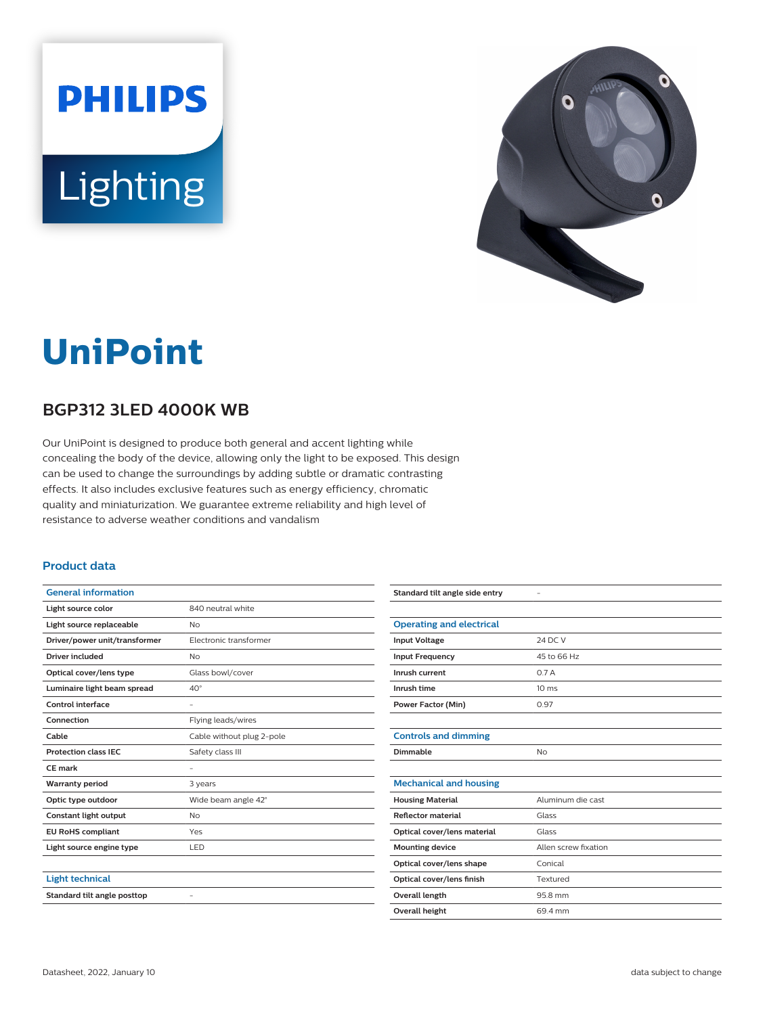



## **UniPoint**

## **BGP312 3LED 4000K WB**

Our UniPoint is designed to produce both general and accent lighting while concealing the body of the device, allowing only the light to be exposed. This design can be used to change the surroundings by adding subtle or dramatic contrasting effects. It also includes exclusive features such as energy efficiency, chromatic quality and miniaturization. We guarantee extreme reliability and high level of resistance to adverse weather conditions and vandalism

## **Product data**

| <b>General information</b>    |                           |
|-------------------------------|---------------------------|
| Light source color            | 840 neutral white         |
| Light source replaceable      | No                        |
| Driver/power unit/transformer | Electronic transformer    |
| Driver included               | <b>No</b>                 |
| Optical cover/lens type       | Glass bowl/cover          |
| Luminaire light beam spread   | $40^{\circ}$              |
| Control interface             | $\overline{\phantom{0}}$  |
| Connection                    | Flying leads/wires        |
| Cable                         | Cable without plug 2-pole |
| <b>Protection class IEC</b>   | Safety class III          |
| CE mark                       |                           |
| <b>Warranty period</b>        | 3 years                   |
| Optic type outdoor            | Wide beam angle 42°       |
| Constant light output         | <b>No</b>                 |
| <b>EU RoHS compliant</b>      | Yes                       |
| Light source engine type      | LED                       |
|                               |                           |
| <b>Light technical</b>        |                           |
| Standard tilt angle posttop   |                           |
|                               |                           |

| Standard tilt angle side entry  |                      |
|---------------------------------|----------------------|
|                                 |                      |
| <b>Operating and electrical</b> |                      |
| <b>Input Voltage</b>            | 24 DC V              |
| <b>Input Frequency</b>          | 45 to 66 Hz          |
| Inrush current                  | 0.7A                 |
| Inrush time                     | 10 <sub>ms</sub>     |
| <b>Power Factor (Min)</b>       | 0.97                 |
|                                 |                      |
| <b>Controls and dimming</b>     |                      |
| Dimmable                        | <b>No</b>            |
|                                 |                      |
| <b>Mechanical and housing</b>   |                      |
| <b>Housing Material</b>         | Aluminum die cast    |
| <b>Reflector material</b>       | Glass                |
| Optical cover/lens material     | Glass                |
| <b>Mounting device</b>          | Allen screw fixation |
| Optical cover/lens shape        | Conical              |
| Optical cover/lens finish       | Textured             |
| Overall length                  | 95.8 mm              |
| <b>Overall height</b>           | 69.4 mm              |
|                                 |                      |